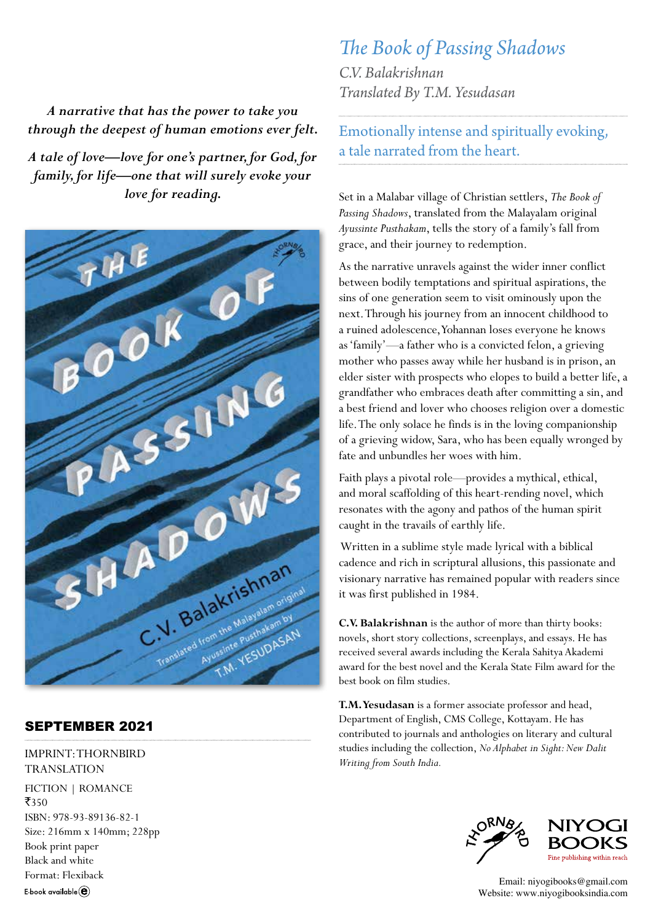*A narrative that has the power to take you through the deepest of human emotions ever felt.* 

*A tale of love—love for one's partner, for God, for family, for life—one that will surely evoke your love for reading.* 



## SEPTEMBER 2021

IMPRINT: THORNBIRD TRANSLATION FICTION | ROMANCE  $7350$ ISBN: 978-93-89136-82-1 Size: 216mm x 140mm; 228pp Book print paper Black and white Format: Flexiback E book available $(\widehat{\mathbf{e}})$ 

## *The Book of Passing Shadows*

*C.V. Balakrishnan Translated By T.M. Yesudasan*

Emotionally intense and spiritually evoking, a tale narrated from the heart.

Set in a Malabar village of Christian settlers, *The Book of Passing Shadows*, translated from the Malayalam original *Ayussinte Pusthakam*, tells the story of a family's fall from grace, and their journey to redemption.

As the narrative unravels against the wider inner conflict between bodily temptations and spiritual aspirations, the sins of one generation seem to visit ominously upon the next. Through his journey from an innocent childhood to a ruined adolescence, Yohannan loses everyone he knows as 'family'—a father who is a convicted felon, a grieving mother who passes away while her husband is in prison, an elder sister with prospects who elopes to build a better life, a grandfather who embraces death after committing a sin, and a best friend and lover who chooses religion over a domestic life. The only solace he finds is in the loving companionship of a grieving widow, Sara, who has been equally wronged by fate and unbundles her woes with him.

Faith plays a pivotal role—provides a mythical, ethical, and moral scaffolding of this heart-rending novel, which resonates with the agony and pathos of the human spirit caught in the travails of earthly life.

 Written in a sublime style made lyrical with a biblical cadence and rich in scriptural allusions, this passionate and visionary narrative has remained popular with readers since it was first published in 1984.

**C.V. Balakrishnan** is the author of more than thirty books: novels, short story collections, screenplays, and essays. He has received several awards including the Kerala Sahitya Akademi award for the best novel and the Kerala State Film award for the best book on film studies.

**T.M. Yesudasan** is a former associate professor and head, Department of English, CMS College, Kottayam. He has contributed to journals and anthologies on literary and cultural studies including the collection, *No Alphabet in Sight: New Dalit Writing from South India.*



Email: niyogibooks@gmail.com Website: www.niyogibooksindia.com